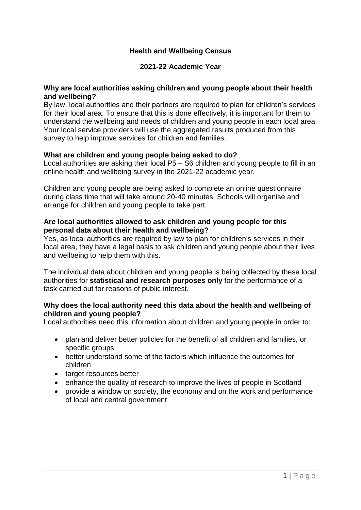# **Health and Wellbeing Census**

## **2021-22 Academic Year**

#### **Why are local authorities asking children and young people about their health and wellbeing?**

By law, local authorities and their partners are required to plan for children's services for their local area. To ensure that this is done effectively, it is important for them to understand the wellbeing and needs of children and young people in each local area. Your local service providers will use the aggregated results produced from this survey to help improve services for children and families.

#### **What are children and young people being asked to do?**

Local authorities are asking their local P5 – S6 children and young people to fill in an online health and wellbeing survey in the 2021-22 academic year.

Children and young people are being asked to complete an online questionnaire during class time that will take around 20-40 minutes. Schools will organise and arrange for children and young people to take part.

### **Are local authorities allowed to ask children and young people for this personal data about their health and wellbeing?**

Yes, as local authorities are required by law to plan for children's services in their local area, they have a legal basis to ask children and young people about their lives and wellbeing to help them with this.

The individual data about children and young people is being collected by these local authorities for **statistical and research purposes only** for the performance of a task carried out for reasons of public interest.

### **Why does the local authority need this data about the health and wellbeing of children and young people?**

Local authorities need this information about children and young people in order to:

- plan and deliver better policies for the benefit of all children and families, or specific groups
- better understand some of the factors which influence the outcomes for children
- target resources better
- enhance the quality of research to improve the lives of people in Scotland
- provide a window on society, the economy and on the work and performance of local and central government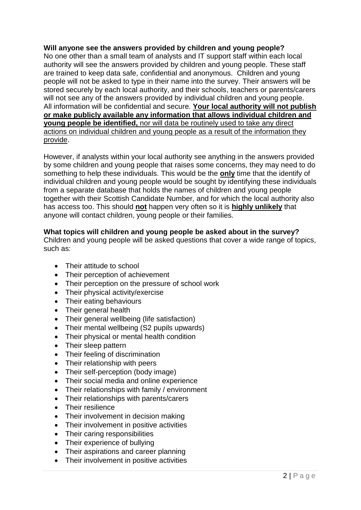# **Will anyone see the answers provided by children and young people?**

No one other than a small team of analysts and IT support staff within each local authority will see the answers provided by children and young people. These staff are trained to keep data safe, confidential and anonymous. Children and young people will not be asked to type in their name into the survey. Their answers will be stored securely by each local authority, and their schools, teachers or parents/carers will not see any of the answers provided by individual children and young people. All information will be confidential and secure. **Your local authority will not publish or make publicly available any information that allows individual children and young people be identified,** nor will data be routinely used to take any direct actions on individual children and young people as a result of the information they provide.

However, if analysts within your local authority see anything in the answers provided by some children and young people that raises some concerns, they may need to do something to help these individuals. This would be the **only** time that the identify of individual children and young people would be sought by identifying these individuals from a separate database that holds the names of children and young people together with their Scottish Candidate Number, and for which the local authority also has access too. This should **not** happen very often so it is **highly unlikely** that anyone will contact children, young people or their families.

### **What topics will children and young people be asked about in the survey?**

Children and young people will be asked questions that cover a wide range of topics, such as:

- Their attitude to school
- Their perception of achievement
- Their perception on the pressure of school work
- Their physical activity/exercise
- Their eating behaviours
- Their general health
- Their general wellbeing (life satisfaction)
- Their mental wellbeing (S2 pupils upwards)
- Their physical or mental health condition
- Their sleep pattern
- Their feeling of discrimination
- Their relationship with peers
- Their self-perception (body image)
- Their social media and online experience
- Their relationships with family / environment
- Their relationships with parents/carers
- Their resilience
- Their involvement in decision making
- Their involvement in positive activities
- Their caring responsibilities
- Their experience of bullying
- Their aspirations and career planning
- Their involvement in positive activities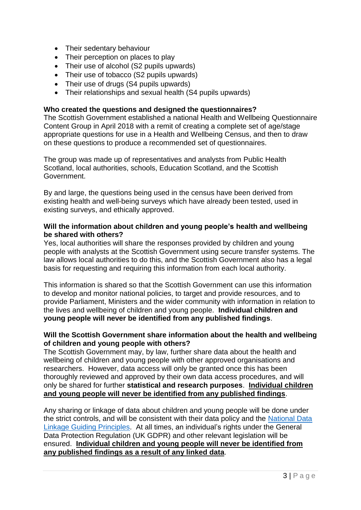- Their sedentary behaviour
- Their perception on places to play
- Their use of alcohol (S2 pupils upwards)
- Their use of tobacco (S2 pupils upwards)
- Their use of drugs (S4 pupils upwards)
- Their relationships and sexual health (S4 pupils upwards)

#### **Who created the questions and designed the questionnaires?**

The Scottish Government established a national Health and Wellbeing Questionnaire Content Group in April 2018 with a remit of creating a complete set of age/stage appropriate questions for use in a Health and Wellbeing Census, and then to draw on these questions to produce a recommended set of questionnaires.

The group was made up of representatives and analysts from Public Health Scotland, local authorities, schools, Education Scotland, and the Scottish Government.

By and large, the questions being used in the census have been derived from existing health and well-being surveys which have already been tested, used in existing surveys, and ethically approved.

#### **Will the information about children and young people's health and wellbeing be shared with others?**

Yes, local authorities will share the responses provided by children and young people with analysts at the Scottish Government using secure transfer systems. The law allows local authorities to do this, and the Scottish Government also has a legal basis for requesting and requiring this information from each local authority.

This information is shared so that the Scottish Government can use this information to develop and monitor national policies, to target and provide resources, and to provide Parliament, Ministers and the wider community with information in relation to the lives and wellbeing of children and young people. **Individual children and young people will never be identified from any published findings**.

### **Will the Scottish Government share information about the health and wellbeing of children and young people with others?**

The Scottish Government may, by law, further share data about the health and wellbeing of children and young people with other approved organisations and researchers. However, data access will only be granted once this has been thoroughly reviewed and approved by their own data access procedures, and will only be shared for further **statistical and research purposes**. **Individual children and young people will never be identified from any published findings**.

Any sharing or linkage of data about children and young people will be done under the strict controls, and will be consistent with their data policy and the [National Data](https://www.gov.scot/publications/joined-up-data-better-decisions-guiding-principles-data-linkage/pages/1/)  [Linkage Guiding Principles.](https://www.gov.scot/publications/joined-up-data-better-decisions-guiding-principles-data-linkage/pages/1/) At all times, an individual's rights under the General Data Protection Regulation (UK GDPR) and other relevant legislation will be ensured. **Individual children and young people will never be identified from any published findings as a result of any linked data**.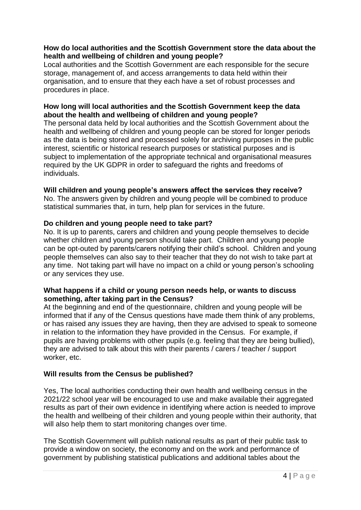## **How do local authorities and the Scottish Government store the data about the health and wellbeing of children and young people?**

Local authorities and the Scottish Government are each responsible for the secure storage, management of, and access arrangements to data held within their organisation, and to ensure that they each have a set of robust processes and procedures in place.

## **How long will local authorities and the Scottish Government keep the data about the health and wellbeing of children and young people?**

The personal data held by local authorities and the Scottish Government about the health and wellbeing of children and young people can be stored for longer periods as the data is being stored and processed solely for archiving purposes in the public interest, scientific or historical research purposes or statistical purposes and is subject to implementation of the appropriate technical and organisational measures required by the UK GDPR in order to safeguard the rights and freedoms of individuals.

## **Will children and young people's answers affect the services they receive?**

No. The answers given by children and young people will be combined to produce statistical summaries that, in turn, help plan for services in the future.

## **Do children and young people need to take part?**

No. It is up to parents, carers and children and young people themselves to decide whether children and young person should take part. Children and young people can be opt-outed by parents/carers notifying their child's school. Children and young people themselves can also say to their teacher that they do not wish to take part at any time. Not taking part will have no impact on a child or young person's schooling or any services they use.

### **What happens if a child or young person needs help, or wants to discuss something, after taking part in the Census?**

At the beginning and end of the questionnaire, children and young people will be informed that if any of the Census questions have made them think of any problems, or has raised any issues they are having, then they are advised to speak to someone in relation to the information they have provided in the Census. For example, if pupils are having problems with other pupils (e.g. feeling that they are being bullied), they are advised to talk about this with their parents / carers / teacher / support worker, etc.

# **Will results from the Census be published?**

Yes, The local authorities conducting their own health and wellbeing census in the 2021/22 school year will be encouraged to use and make available their aggregated results as part of their own evidence in identifying where action is needed to improve the health and wellbeing of their children and young people within their authority, that will also help them to start monitoring changes over time.

The Scottish Government will publish national results as part of their public task to provide a window on society, the economy and on the work and performance of government by publishing statistical publications and additional tables about the